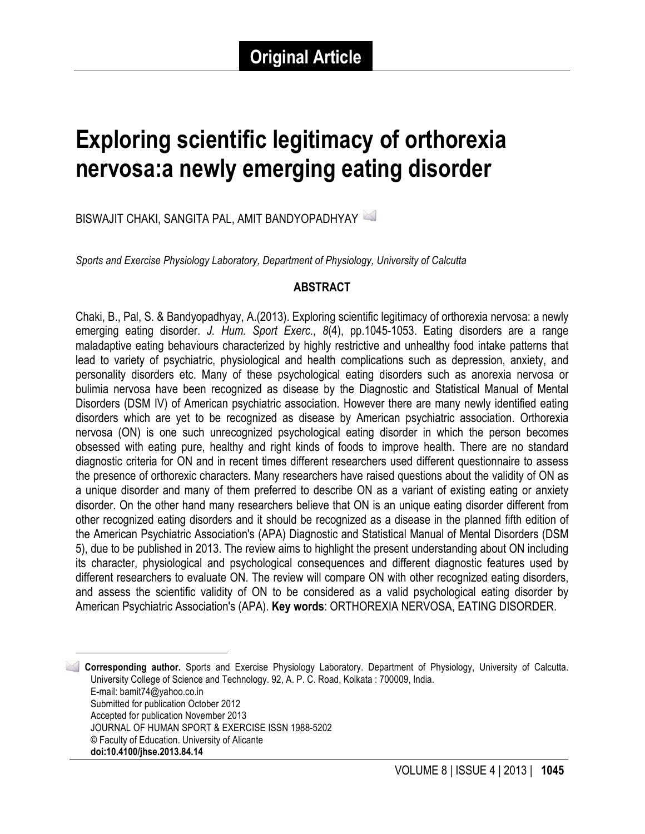# **Exploring scientific legitimacy of orthorexia nervosa:a newly emerging eating disorder**

BISWAJIT CHAKI, SANGITA PAL, AMIT BANDYOPADHYAY 1

*Sports and Exercise Physiology Laboratory, Department of Physiology, University of Calcutta*

#### **ABSTRACT**

Chaki, B., Pal, S. & Bandyopadhyay, A.(2013). Exploring scientific legitimacy of orthorexia nervosa: a newly emerging eating disorder. *J. Hum. Sport Exerc*., *8*(4), pp.1045-1053. Eating disorders are a range maladaptive eating behaviours characterized by highly restrictive and unhealthy food intake patterns that lead to variety of psychiatric, physiological and health complications such as depression, anxiety, and personality disorders etc. Many of these psychological eating disorders such as anorexia nervosa or bulimia nervosa have been recognized as disease by the Diagnostic and Statistical Manual of Mental Disorders (DSM IV) of American psychiatric association. However there are many newly identified eating disorders which are yet to be recognized as disease by American psychiatric association. Orthorexia nervosa (ON) is one such unrecognized psychological eating disorder in which the person becomes obsessed with eating pure, healthy and right kinds of foods to improve health. There are no standard diagnostic criteria for ON and in recent times different researchers used different questionnaire to assess the presence of orthorexic characters. Many researchers have raised questions about the validity of ON as a unique disorder and many of them preferred to describe ON as a variant of existing eating or anxiety disorder. On the other hand many researchers believe that ON is an unique eating disorder different from other recognized eating disorders and it should be recognized as a disease in the planned fifth edition of the American Psychiatric Association's (APA) Diagnostic and Statistical Manual of Mental Disorders (DSM 5), due to be published in 2013. The review aims to highlight the present understanding about ON including its character, physiological and psychological consequences and different diagnostic features used by different researchers to evaluate ON. The review will compare ON with other recognized eating disorders, and assess the scientific validity of ON to be considered as a valid psychological eating disorder by American Psychiatric Association's (APA). **Key words**: ORTHOREXIA NERVOSA, EATING DISORDER.

 1 **Corresponding author.** Sports and Exercise Physiology Laboratory. Department of Physiology, University of Calcutta. University College of Science and Technology. 92, A. P. C. Road, Kolkata : 700009, India. E-mail: bamit74@yahoo.co.in Submitted for publication October 2012 Accepted for publication November 2013 JOURNAL OF HUMAN SPORT & EXERCISE ISSN 1988-5202 © Faculty of Education. University of Alicante **doi:10.4100/jhse.2013.84.14**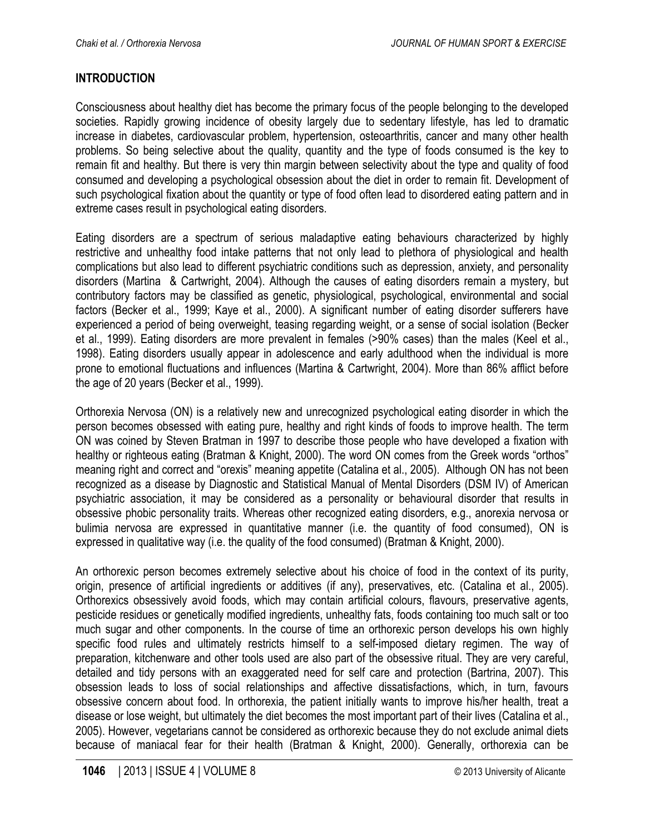# **INTRODUCTION**

Consciousness about healthy diet has become the primary focus of the people belonging to the developed societies. Rapidly growing incidence of obesity largely due to sedentary lifestyle, has led to dramatic increase in diabetes, cardiovascular problem, hypertension, osteoarthritis, cancer and many other health problems. So being selective about the quality, quantity and the type of foods consumed is the key to remain fit and healthy. But there is very thin margin between selectivity about the type and quality of food consumed and developing a psychological obsession about the diet in order to remain fit. Development of such psychological fixation about the quantity or type of food often lead to disordered eating pattern and in extreme cases result in psychological eating disorders.

Eating disorders are a spectrum of serious maladaptive eating behaviours characterized by highly restrictive and unhealthy food intake patterns that not only lead to plethora of physiological and health complications but also lead to different psychiatric conditions such as depression, anxiety, and personality disorders (Martina & Cartwright, 2004). Although the causes of eating disorders remain a mystery, but contributory factors may be classified as genetic, physiological, psychological, environmental and social factors (Becker et al., 1999; Kaye et al., 2000). A significant number of eating disorder sufferers have experienced a period of being overweight, teasing regarding weight, or a sense of social isolation (Becker et al., 1999). Eating disorders are more prevalent in females (>90% cases) than the males (Keel et al., 1998). Eating disorders usually appear in adolescence and early adulthood when the individual is more prone to emotional fluctuations and influences (Martina & Cartwright, 2004). More than 86% afflict before the age of 20 years (Becker et al., 1999).

Orthorexia Nervosa (ON) is a relatively new and unrecognized psychological eating disorder in which the person becomes obsessed with eating pure, healthy and right kinds of foods to improve health. The term ON was coined by Steven Bratman in 1997 to describe those people who have developed a fixation with healthy or righteous eating (Bratman & Knight, 2000). The word ON comes from the Greek words "orthos" meaning right and correct and "orexis" meaning appetite (Catalina et al., 2005). Although ON has not been recognized as a disease by Diagnostic and Statistical Manual of Mental Disorders (DSM IV) of American psychiatric association, it may be considered as a personality or behavioural disorder that results in obsessive phobic personality traits. Whereas other recognized eating disorders, e.g., anorexia nervosa or bulimia nervosa are expressed in quantitative manner (i.e. the quantity of food consumed), ON is expressed in qualitative way (i.e. the quality of the food consumed) (Bratman & Knight, 2000).

An orthorexic person becomes extremely selective about his choice of food in the context of its purity, origin, presence of artificial ingredients or additives (if any), preservatives, etc. (Catalina et al., 2005). Orthorexics obsessively avoid foods, which may contain artificial colours, flavours, preservative agents, pesticide residues or genetically modified ingredients, unhealthy fats, foods containing too much salt or too much sugar and other components. In the course of time an orthorexic person develops his own highly specific food rules and ultimately restricts himself to a self-imposed dietary regimen. The way of preparation, kitchenware and other tools used are also part of the obsessive ritual. They are very careful, detailed and tidy persons with an exaggerated need for self care and protection (Bartrina, 2007). This obsession leads to loss of social relationships and affective dissatisfactions, which, in turn, favours obsessive concern about food. In orthorexia, the patient initially wants to improve his/her health, treat a disease or lose weight, but ultimately the diet becomes the most important part of their lives (Catalina et al., 2005). However, vegetarians cannot be considered as orthorexic because they do not exclude animal diets because of maniacal fear for their health (Bratman & Knight, 2000). Generally, orthorexia can be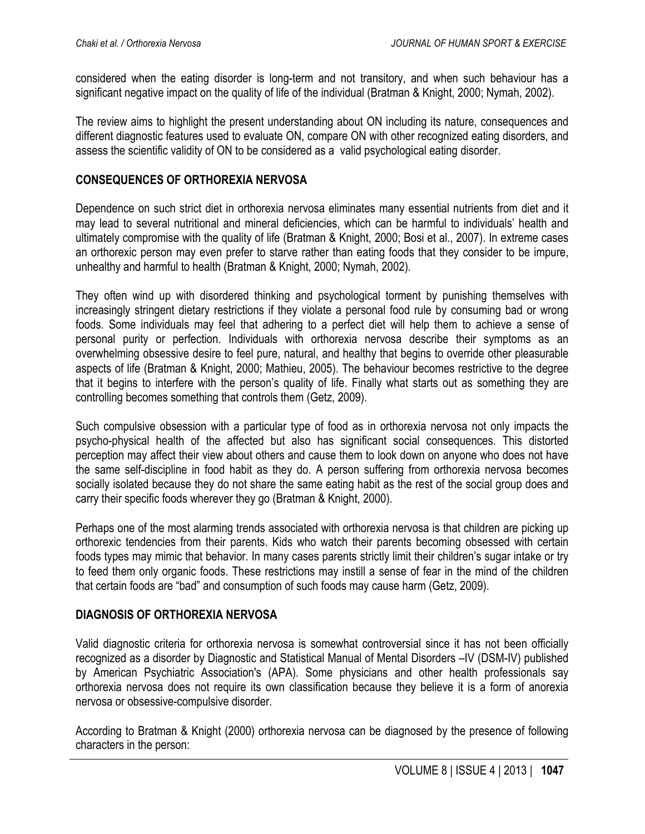considered when the eating disorder is long-term and not transitory, and when such behaviour has a significant negative impact on the quality of life of the individual (Bratman & Knight, 2000; Nymah, 2002).

The review aims to highlight the present understanding about ON including its nature, consequences and different diagnostic features used to evaluate ON, compare ON with other recognized eating disorders, and assess the scientific validity of ON to be considered as a valid psychological eating disorder.

#### **CONSEQUENCES OF ORTHOREXIA NERVOSA**

Dependence on such strict diet in orthorexia nervosa eliminates many essential nutrients from diet and it may lead to several nutritional and mineral deficiencies, which can be harmful to individuals' health and ultimately compromise with the quality of life (Bratman & Knight, 2000; Bosi et al., 2007). In extreme cases an orthorexic person may even prefer to starve rather than eating foods that they consider to be impure, unhealthy and harmful to health (Bratman & Knight, 2000; Nymah, 2002).

They often wind up with disordered thinking and psychological torment by punishing themselves with increasingly stringent dietary restrictions if they violate a personal food rule by consuming bad or wrong foods. Some individuals may feel that adhering to a perfect diet will help them to achieve a sense of personal purity or perfection. Individuals with orthorexia nervosa describe their symptoms as an overwhelming obsessive desire to feel pure, natural, and healthy that begins to override other pleasurable aspects of life (Bratman & Knight, 2000; Mathieu, 2005). The behaviour becomes restrictive to the degree that it begins to interfere with the person's quality of life. Finally what starts out as something they are controlling becomes something that controls them (Getz, 2009).

Such compulsive obsession with a particular type of food as in orthorexia nervosa not only impacts the psycho-physical health of the affected but also has significant social consequences. This distorted perception may affect their view about others and cause them to look down on anyone who does not have the same self-discipline in food habit as they do. A person suffering from orthorexia nervosa becomes socially isolated because they do not share the same eating habit as the rest of the social group does and carry their specific foods wherever they go (Bratman & Knight, 2000).

Perhaps one of the most alarming trends associated with orthorexia nervosa is that children are picking up orthorexic tendencies from their parents. Kids who watch their parents becoming obsessed with certain foods types may mimic that behavior. In many cases parents strictly limit their children's sugar intake or try to feed them only organic foods. These restrictions may instill a sense of fear in the mind of the children that certain foods are "bad" and consumption of such foods may cause harm (Getz, 2009).

## **DIAGNOSIS OF ORTHOREXIA NERVOSA**

Valid diagnostic criteria for orthorexia nervosa is somewhat controversial since it has not been officially recognized as a disorder by Diagnostic and Statistical Manual of Mental Disorders –IV (DSM-IV) published by American Psychiatric Association's (APA). Some physicians and other health professionals say orthorexia nervosa does not require its own classification because they believe it is a form of anorexia nervosa or obsessive-compulsive disorder.

According to Bratman & Knight (2000) orthorexia nervosa can be diagnosed by the presence of following characters in the person: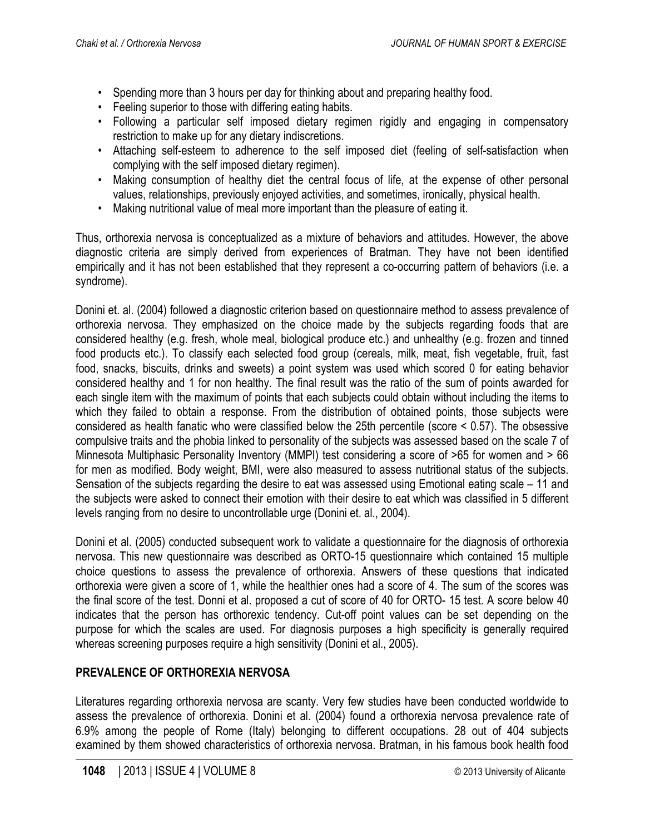- Spending more than 3 hours per day for thinking about and preparing healthy food.
- Feeling superior to those with differing eating habits.
- Following a particular self imposed dietary regimen rigidly and engaging in compensatory restriction to make up for any dietary indiscretions.
- Attaching self-esteem to adherence to the self imposed diet (feeling of self-satisfaction when complying with the self imposed dietary regimen).
- Making consumption of healthy diet the central focus of life, at the expense of other personal values, relationships, previously enjoyed activities, and sometimes, ironically, physical health.
- Making nutritional value of meal more important than the pleasure of eating it.

Thus, orthorexia nervosa is conceptualized as a mixture of behaviors and attitudes. However, the above diagnostic criteria are simply derived from experiences of Bratman. They have not been identified empirically and it has not been established that they represent a co-occurring pattern of behaviors (i.e. a syndrome).

Donini et. al. (2004) followed a diagnostic criterion based on questionnaire method to assess prevalence of orthorexia nervosa. They emphasized on the choice made by the subjects regarding foods that are considered healthy (e.g. fresh, whole meal, biological produce etc.) and unhealthy (e.g. frozen and tinned food products etc.). To classify each selected food group (cereals, milk, meat, fish vegetable, fruit, fast food, snacks, biscuits, drinks and sweets) a point system was used which scored 0 for eating behavior considered healthy and 1 for non healthy. The final result was the ratio of the sum of points awarded for each single item with the maximum of points that each subjects could obtain without including the items to which they failed to obtain a response. From the distribution of obtained points, those subjects were considered as health fanatic who were classified below the 25th percentile (score < 0.57). The obsessive compulsive traits and the phobia linked to personality of the subjects was assessed based on the scale 7 of Minnesota Multiphasic Personality Inventory (MMPI) test considering a score of >65 for women and > 66 for men as modified. Body weight, BMI, were also measured to assess nutritional status of the subjects. Sensation of the subjects regarding the desire to eat was assessed using Emotional eating scale – 11 and the subjects were asked to connect their emotion with their desire to eat which was classified in 5 different levels ranging from no desire to uncontrollable urge (Donini et. al., 2004).

Donini et al. (2005) conducted subsequent work to validate a questionnaire for the diagnosis of orthorexia nervosa. This new questionnaire was described as ORTO-15 questionnaire which contained 15 multiple choice questions to assess the prevalence of orthorexia. Answers of these questions that indicated orthorexia were given a score of 1, while the healthier ones had a score of 4. The sum of the scores was the final score of the test. Donni et al. proposed a cut of score of 40 for ORTO- 15 test. A score below 40 indicates that the person has orthorexic tendency. Cut-off point values can be set depending on the purpose for which the scales are used. For diagnosis purposes a high specificity is generally required whereas screening purposes require a high sensitivity (Donini et al., 2005).

# **PREVALENCE OF ORTHOREXIA NERVOSA**

Literatures regarding orthorexia nervosa are scanty. Very few studies have been conducted worldwide to assess the prevalence of orthorexia. Donini et al. (2004) found a orthorexia nervosa prevalence rate of 6.9% among the people of Rome (Italy) belonging to different occupations. 28 out of 404 subjects examined by them showed characteristics of orthorexia nervosa. Bratman, in his famous book health food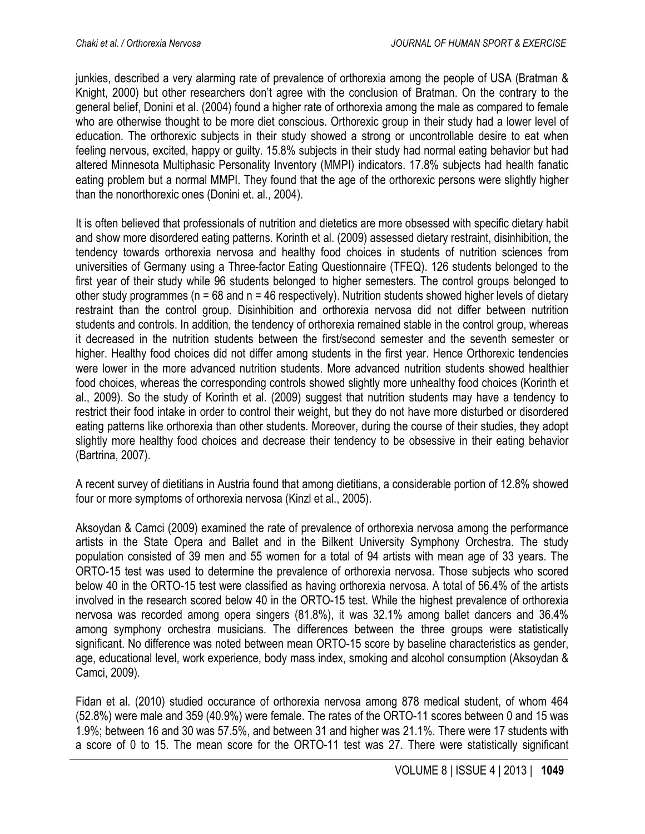junkies, described a very alarming rate of prevalence of orthorexia among the people of USA (Bratman & Knight, 2000) but other researchers don't agree with the conclusion of Bratman. On the contrary to the general belief, Donini et al. (2004) found a higher rate of orthorexia among the male as compared to female who are otherwise thought to be more diet conscious. Orthorexic group in their study had a lower level of education. The orthorexic subjects in their study showed a strong or uncontrollable desire to eat when feeling nervous, excited, happy or guilty. 15.8% subjects in their study had normal eating behavior but had altered Minnesota Multiphasic Personality Inventory (MMPI) indicators. 17.8% subjects had health fanatic eating problem but a normal MMPI. They found that the age of the orthorexic persons were slightly higher than the nonorthorexic ones (Donini et. al., 2004).

It is often believed that professionals of nutrition and dietetics are more obsessed with specific dietary habit and show more disordered eating patterns. Korinth et al. (2009) assessed dietary restraint, disinhibition, the tendency towards orthorexia nervosa and healthy food choices in students of nutrition sciences from universities of Germany using a Three-factor Eating Questionnaire (TFEQ). 126 students belonged to the first year of their study while 96 students belonged to higher semesters. The control groups belonged to other study programmes ( $n = 68$  and  $n = 46$  respectively). Nutrition students showed higher levels of dietary restraint than the control group. Disinhibition and orthorexia nervosa did not differ between nutrition students and controls. In addition, the tendency of orthorexia remained stable in the control group, whereas it decreased in the nutrition students between the first/second semester and the seventh semester or higher. Healthy food choices did not differ among students in the first year. Hence Orthorexic tendencies were lower in the more advanced nutrition students. More advanced nutrition students showed healthier food choices, whereas the corresponding controls showed slightly more unhealthy food choices (Korinth et al., 2009). So the study of Korinth et al. (2009) suggest that nutrition students may have a tendency to restrict their food intake in order to control their weight, but they do not have more disturbed or disordered eating patterns like orthorexia than other students. Moreover, during the course of their studies, they adopt slightly more healthy food choices and decrease their tendency to be obsessive in their eating behavior (Bartrina, 2007).

A recent survey of dietitians in Austria found that among dietitians, a considerable portion of 12.8% showed four or more symptoms of orthorexia nervosa (Kinzl et al., 2005).

Aksoydan & Camci (2009) examined the rate of prevalence of orthorexia nervosa among the performance artists in the State Opera and Ballet and in the Bilkent University Symphony Orchestra. The study population consisted of 39 men and 55 women for a total of 94 artists with mean age of 33 years. The ORTO-15 test was used to determine the prevalence of orthorexia nervosa. Those subjects who scored below 40 in the ORTO-15 test were classified as having orthorexia nervosa. A total of 56.4% of the artists involved in the research scored below 40 in the ORTO-15 test. While the highest prevalence of orthorexia nervosa was recorded among opera singers (81.8%), it was 32.1% among ballet dancers and 36.4% among symphony orchestra musicians. The differences between the three groups were statistically significant. No difference was noted between mean ORTO-15 score by baseline characteristics as gender, age, educational level, work experience, body mass index, smoking and alcohol consumption (Aksoydan & Camci, 2009).

Fidan et al. (2010) studied occurance of orthorexia nervosa among 878 medical student, of whom 464 (52.8%) were male and 359 (40.9%) were female. The rates of the ORTO-11 scores between 0 and 15 was 1.9%; between 16 and 30 was 57.5%, and between 31 and higher was 21.1%. There were 17 students with a score of 0 to 15. The mean score for the ORTO-11 test was 27. There were statistically significant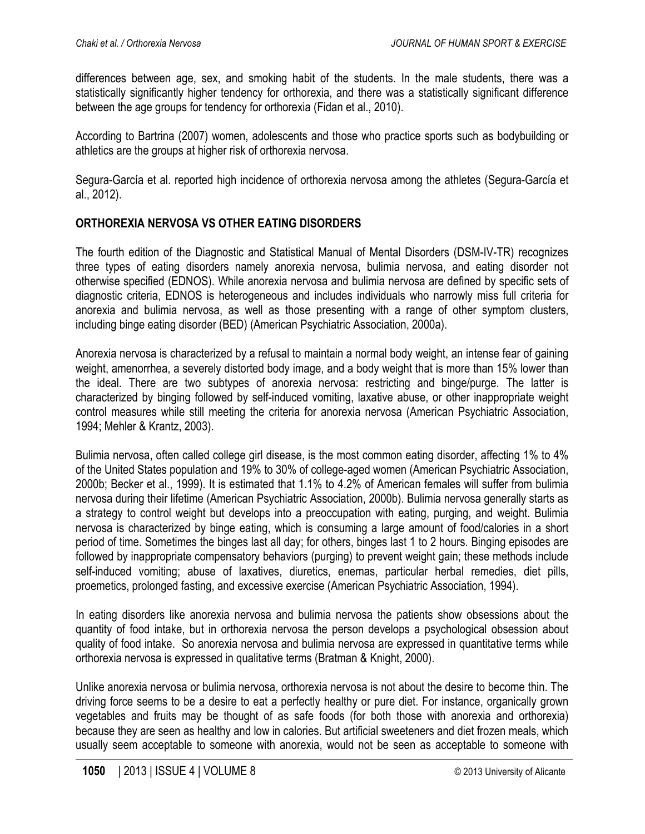differences between age, sex, and smoking habit of the students. In the male students, there was a statistically significantly higher tendency for orthorexia, and there was a statistically significant difference between the age groups for tendency for orthorexia (Fidan et al., 2010).

According to Bartrina (2007) women, adolescents and those who practice sports such as bodybuilding or athletics are the groups at higher risk of orthorexia nervosa.

Segura-García et al. reported high incidence of orthorexia nervosa among the athletes (Segura-García et al., 2012).

## **ORTHOREXIA NERVOSA VS OTHER EATING DISORDERS**

The fourth edition of the Diagnostic and Statistical Manual of Mental Disorders (DSM-IV-TR) recognizes three types of eating disorders namely anorexia nervosa, bulimia nervosa, and eating disorder not otherwise specified (EDNOS). While anorexia nervosa and bulimia nervosa are defined by specific sets of diagnostic criteria, EDNOS is heterogeneous and includes individuals who narrowly miss full criteria for anorexia and bulimia nervosa, as well as those presenting with a range of other symptom clusters, including binge eating disorder (BED) (American Psychiatric Association, 2000a).

Anorexia nervosa is characterized by a refusal to maintain a normal body weight, an intense fear of gaining weight, amenorrhea, a severely distorted body image, and a body weight that is more than 15% lower than the ideal. There are two subtypes of anorexia nervosa: restricting and binge/purge. The latter is characterized by binging followed by self-induced vomiting, laxative abuse, or other inappropriate weight control measures while still meeting the criteria for anorexia nervosa (American Psychiatric Association, 1994; Mehler & Krantz, 2003).

Bulimia nervosa, often called college girl disease, is the most common eating disorder, affecting 1% to 4% of the United States population and 19% to 30% of college-aged women (American Psychiatric Association, 2000b; Becker et al., 1999). It is estimated that 1.1% to 4.2% of American females will suffer from bulimia nervosa during their lifetime (American Psychiatric Association, 2000b). Bulimia nervosa generally starts as a strategy to control weight but develops into a preoccupation with eating, purging, and weight. Bulimia nervosa is characterized by binge eating, which is consuming a large amount of food/calories in a short period of time. Sometimes the binges last all day; for others, binges last 1 to 2 hours. Binging episodes are followed by inappropriate compensatory behaviors (purging) to prevent weight gain; these methods include self-induced vomiting; abuse of laxatives, diuretics, enemas, particular herbal remedies, diet pills, proemetics, prolonged fasting, and excessive exercise (American Psychiatric Association, 1994).

In eating disorders like anorexia nervosa and bulimia nervosa the patients show obsessions about the quantity of food intake, but in orthorexia nervosa the person develops a psychological obsession about quality of food intake. So anorexia nervosa and bulimia nervosa are expressed in quantitative terms while orthorexia nervosa is expressed in qualitative terms (Bratman & Knight, 2000).

Unlike anorexia nervosa or bulimia nervosa, orthorexia nervosa is not about the desire to become thin. The driving force seems to be a desire to eat a perfectly healthy or pure diet. For instance, organically grown vegetables and fruits may be thought of as safe foods (for both those with anorexia and orthorexia) because they are seen as healthy and low in calories. But artificial sweeteners and diet frozen meals, which usually seem acceptable to someone with anorexia, would not be seen as acceptable to someone with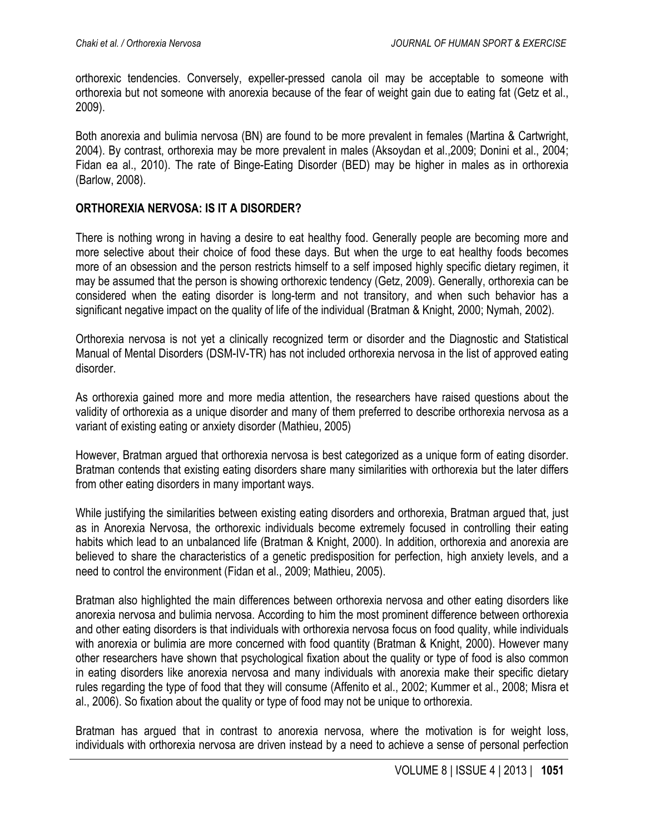orthorexic tendencies. Conversely, expeller-pressed canola oil may be acceptable to someone with orthorexia but not someone with anorexia because of the fear of weight gain due to eating fat (Getz et al., 2009).

Both anorexia and bulimia nervosa (BN) are found to be more prevalent in females (Martina & Cartwright, 2004). By contrast, orthorexia may be more prevalent in males (Aksoydan et al.,2009; Donini et al., 2004; Fidan ea al., 2010). The rate of Binge-Eating Disorder (BED) may be higher in males as in orthorexia (Barlow, 2008).

## **ORTHOREXIA NERVOSA: IS IT A DISORDER?**

There is nothing wrong in having a desire to eat healthy food. Generally people are becoming more and more selective about their choice of food these days. But when the urge to eat healthy foods becomes more of an obsession and the person restricts himself to a self imposed highly specific dietary regimen, it may be assumed that the person is showing orthorexic tendency (Getz, 2009). Generally, orthorexia can be considered when the eating disorder is long-term and not transitory, and when such behavior has a significant negative impact on the quality of life of the individual (Bratman & Knight, 2000; Nymah, 2002).

Orthorexia nervosa is not yet a clinically recognized term or disorder and the Diagnostic and Statistical Manual of Mental Disorders (DSM-IV-TR) has not included orthorexia nervosa in the list of approved eating disorder.

As orthorexia gained more and more media attention, the researchers have raised questions about the validity of orthorexia as a unique disorder and many of them preferred to describe orthorexia nervosa as a variant of existing eating or anxiety disorder (Mathieu, 2005)

However, Bratman argued that orthorexia nervosa is best categorized as a unique form of eating disorder. Bratman contends that existing eating disorders share many similarities with orthorexia but the later differs from other eating disorders in many important ways.

While justifying the similarities between existing eating disorders and orthorexia, Bratman argued that, just as in Anorexia Nervosa, the orthorexic individuals become extremely focused in controlling their eating habits which lead to an unbalanced life (Bratman & Knight, 2000). In addition, orthorexia and anorexia are believed to share the characteristics of a genetic predisposition for perfection, high anxiety levels, and a need to control the environment (Fidan et al., 2009; Mathieu, 2005).

Bratman also highlighted the main differences between orthorexia nervosa and other eating disorders like anorexia nervosa and bulimia nervosa. According to him the most prominent difference between orthorexia and other eating disorders is that individuals with orthorexia nervosa focus on food quality, while individuals with anorexia or bulimia are more concerned with food quantity (Bratman & Knight, 2000). However many other researchers have shown that psychological fixation about the quality or type of food is also common in eating disorders like anorexia nervosa and many individuals with anorexia make their specific dietary rules regarding the type of food that they will consume (Affenito et al., 2002; Kummer et al., 2008; Misra et al., 2006). So fixation about the quality or type of food may not be unique to orthorexia.

Bratman has argued that in contrast to anorexia nervosa, where the motivation is for weight loss, individuals with orthorexia nervosa are driven instead by a need to achieve a sense of personal perfection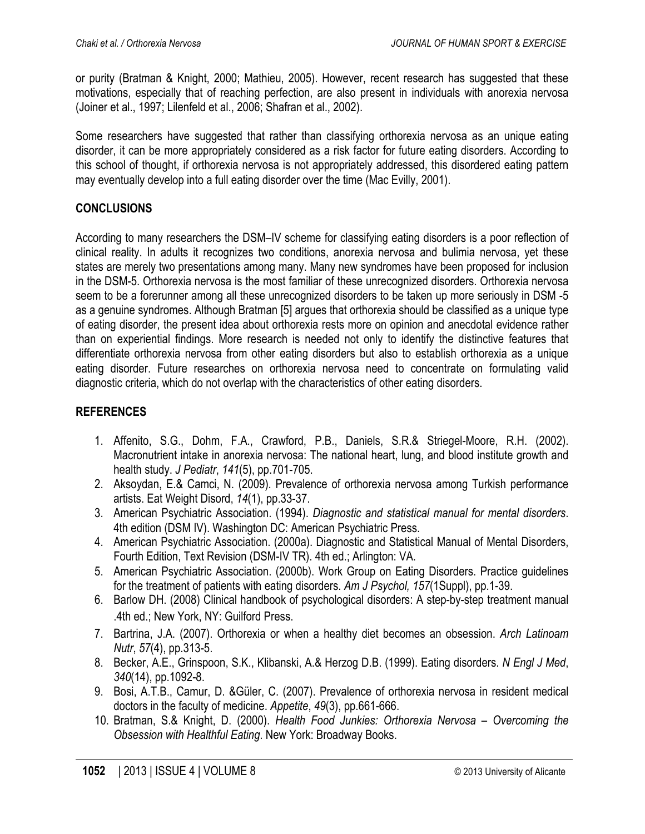or purity (Bratman & Knight, 2000; Mathieu, 2005). However, recent research has suggested that these motivations, especially that of reaching perfection, are also present in individuals with anorexia nervosa (Joiner et al., 1997; Lilenfeld et al., 2006; Shafran et al., 2002).

Some researchers have suggested that rather than classifying orthorexia nervosa as an unique eating disorder, it can be more appropriately considered as a risk factor for future eating disorders. According to this school of thought, if orthorexia nervosa is not appropriately addressed, this disordered eating pattern may eventually develop into a full eating disorder over the time (Mac Evilly, 2001).

# **CONCLUSIONS**

According to many researchers the DSM–IV scheme for classifying eating disorders is a poor reflection of clinical reality. In adults it recognizes two conditions, anorexia nervosa and bulimia nervosa, yet these states are merely two presentations among many. Many new syndromes have been proposed for inclusion in the DSM-5. Orthorexia nervosa is the most familiar of these unrecognized disorders. Orthorexia nervosa seem to be a forerunner among all these unrecognized disorders to be taken up more seriously in DSM -5 as a genuine syndromes. Although Bratman [5] argues that orthorexia should be classified as a unique type of eating disorder, the present idea about orthorexia rests more on opinion and anecdotal evidence rather than on experiential findings. More research is needed not only to identify the distinctive features that differentiate orthorexia nervosa from other eating disorders but also to establish orthorexia as a unique eating disorder. Future researches on orthorexia nervosa need to concentrate on formulating valid diagnostic criteria, which do not overlap with the characteristics of other eating disorders.

# **REFERENCES**

- 1. Affenito, S.G., Dohm, F.A., Crawford, P.B., Daniels, S.R.& Striegel-Moore, R.H. (2002). Macronutrient intake in anorexia nervosa: The national heart, lung, and blood institute growth and health study. *J Pediatr*, *141*(5), pp.701-705.
- 2. Aksoydan, E.& Camci, N. (2009). Prevalence of orthorexia nervosa among Turkish performance artists. Eat Weight Disord, *14*(1), pp.33-37.
- 3. American Psychiatric Association. (1994). *Diagnostic and statistical manual for mental disorders*. 4th edition (DSM IV). Washington DC: American Psychiatric Press.
- 4. American Psychiatric Association. (2000a). Diagnostic and Statistical Manual of Mental Disorders, Fourth Edition, Text Revision (DSM-IV TR). 4th ed.; Arlington: VA.
- 5. American Psychiatric Association. (2000b). Work Group on Eating Disorders. Practice guidelines for the treatment of patients with eating disorders. *Am J Psychol, 157*(1Suppl), pp.1-39.
- 6. Barlow DH. (2008) Clinical handbook of psychological disorders: A step-by-step treatment manual .4th ed.; New York, NY: Guilford Press.
- 7. Bartrina, J.A. (2007). Orthorexia or when a healthy diet becomes an obsession. *Arch Latinoam Nutr*, *57*(4), pp.313-5.
- 8. Becker, A.E., Grinspoon, S.K., Klibanski, A.& Herzog D.B. (1999). Eating disorders. *N Engl J Med*, *340*(14), pp.1092-8.
- 9. Bosi, A.T.B., Camur, D. &Güler, C. (2007). Prevalence of orthorexia nervosa in resident medical doctors in the faculty of medicine. *Appetite*, *49*(3), pp.661-666.
- 10. Bratman, S.& Knight, D. (2000). *Health Food Junkies: Orthorexia Nervosa – Overcoming the Obsession with Healthful Eating*. New York: Broadway Books.